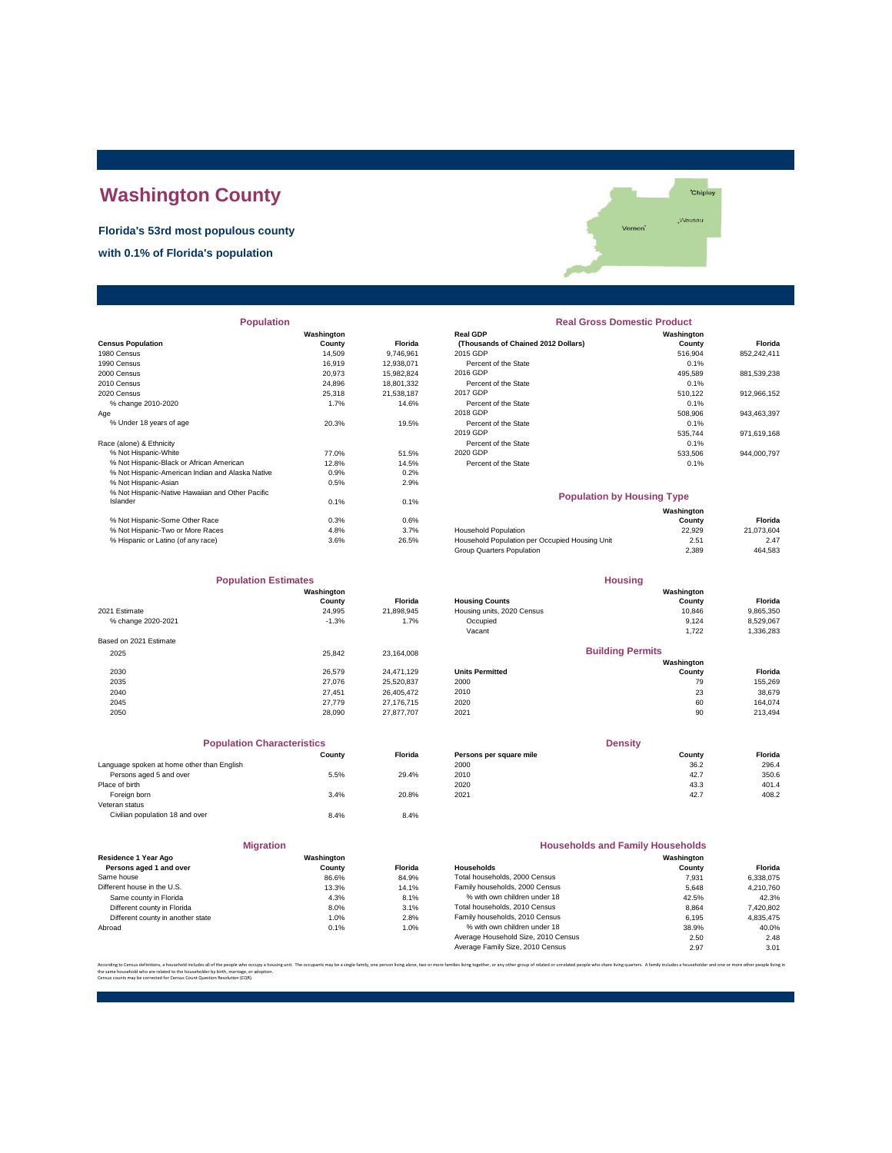## **Washington County**

**Florida's 53rd most populous county**

**with 0.1% of Florida's population**



| <b>Population</b>                                |            |                | <b>Real Gross Domestic Product</b>             |            |             |  |
|--------------------------------------------------|------------|----------------|------------------------------------------------|------------|-------------|--|
|                                                  | Washington |                | <b>Real GDP</b>                                | Washington |             |  |
| <b>Census Population</b>                         | County     | <b>Florida</b> | (Thousands of Chained 2012 Dollars)            | County     | Florida     |  |
| 1980 Census                                      | 14,509     | 9,746,961      | 2015 GDP                                       | 516,904    | 852,242,411 |  |
| 1990 Census                                      | 16,919     | 12,938,071     | Percent of the State                           | 0.1%       |             |  |
| 2000 Census                                      | 20,973     | 15,982,824     | 2016 GDP                                       | 495,589    | 881,539,238 |  |
| 2010 Census                                      | 24,896     | 18,801,332     | Percent of the State                           | 0.1%       |             |  |
| 2020 Census                                      | 25,318     | 21,538,187     | 2017 GDP                                       | 510,122    | 912,966,152 |  |
| % change 2010-2020                               | 1.7%       | 14.6%          | Percent of the State                           | 0.1%       |             |  |
| Age                                              |            |                | 2018 GDP                                       | 508,906    | 943,463,397 |  |
| % Under 18 years of age                          | 20.3%      | 19.5%          | Percent of the State                           | 0.1%       |             |  |
|                                                  |            |                | 2019 GDP                                       | 535,744    | 971,619,168 |  |
| Race (alone) & Ethnicity                         |            |                | Percent of the State                           | 0.1%       |             |  |
| % Not Hispanic-White                             | 77.0%      | 51.5%          | 2020 GDP                                       | 533,506    | 944,000,797 |  |
| % Not Hispanic-Black or African American         | 12.8%      | 14.5%          | Percent of the State                           | 0.1%       |             |  |
| % Not Hispanic-American Indian and Alaska Native | 0.9%       | 0.2%           |                                                |            |             |  |
| % Not Hispanic-Asian                             | 0.5%       | 2.9%           |                                                |            |             |  |
| % Not Hispanic-Native Hawaiian and Other Pacific |            |                | <b>Population by Housing Type</b>              |            |             |  |
| Islander                                         | 0.1%       | 0.1%           |                                                |            |             |  |
|                                                  |            |                |                                                | Washington |             |  |
| % Not Hispanic-Some Other Race                   | 0.3%       | 0.6%           |                                                | County     | Florida     |  |
| % Not Hispanic-Two or More Races                 | 4.8%       | 3.7%           | <b>Household Population</b>                    | 22,929     | 21,073,604  |  |
| % Hispanic or Latino (of any race)               | 3.6%       | 26.5%          | Household Population per Occupied Housing Unit | 2.51       | 2.47        |  |

| <b>Population</b>                                |            |                | <b>Real Gross Domestic Product</b>  |            |             |  |
|--------------------------------------------------|------------|----------------|-------------------------------------|------------|-------------|--|
|                                                  | Washington |                | <b>Real GDP</b>                     | Washington |             |  |
| sus Population                                   | County     | <b>Florida</b> | (Thousands of Chained 2012 Dollars) | County     | Florida     |  |
| 0 Census                                         | 14.509     | 9.746.961      | 2015 GDP                            | 516.904    | 852,242,411 |  |
| 0 Census                                         | 16.919     | 12.938.071     | Percent of the State                | 0.1%       |             |  |
| 0 Census                                         | 20.973     | 15.982.824     | 2016 GDP                            | 495.589    | 881,539,238 |  |
| 0 Census                                         | 24.896     | 18,801,332     | Percent of the State                | 0.1%       |             |  |
| 0 Census                                         | 25.318     | 21.538.187     | 2017 GDP                            | 510.122    | 912,966,152 |  |
| % change 2010-2020                               | 1.7%       | 14.6%          | Percent of the State                | 0.1%       |             |  |
|                                                  |            |                | 2018 GDP                            | 508,906    | 943,463,397 |  |
| % Under 18 years of age                          | 20.3%      | 19.5%          | Percent of the State                | 0.1%       |             |  |
|                                                  |            |                | 2019 GDP                            | 535.744    | 971,619,168 |  |
| e (alone) & Ethnicity                            |            |                | Percent of the State                | 0.1%       |             |  |
| % Not Hispanic-White                             | 77.0%      | 51.5%          | 2020 GDP                            | 533.506    | 944,000,797 |  |
| % Not Hispanic-Black or African American         | 12.8%      | 14.5%          | Percent of the State                | 0.1%       |             |  |
| % Not Hispanic-American Indian and Alaska Native | 0.9%       | 0.2%           |                                     |            |             |  |

| <b>Population by Housing Type</b>              |                      |            |  |  |
|------------------------------------------------|----------------------|------------|--|--|
|                                                | Washington<br>County | Florida    |  |  |
| <b>Household Population</b>                    | 22.929               | 21.073.604 |  |  |
| Household Population per Occupied Housing Unit | 2.51                 | 2.47       |  |  |
| Group Quarters Population                      | 2.389                | 464.583    |  |  |

**Housing**

**Florida**<br>9,865,350<br>8,529,067

| <b>Population Estimates</b> |            |                | <b>Housing</b>             |                         |           |
|-----------------------------|------------|----------------|----------------------------|-------------------------|-----------|
|                             | Washington |                |                            | Washington              |           |
|                             | County     | <b>Florida</b> | <b>Housing Counts</b>      | County                  | Florida   |
| 2021 Estimate               | 24,995     | 21,898,945     | Housing units, 2020 Census | 10,846                  | 9,865,350 |
| % change 2020-2021          | $-1.3%$    | 1.7%           | Occupied                   | 9.124                   | 8,529,067 |
|                             |            |                | Vacant                     | 1,722                   | 1,336,283 |
| Based on 2021 Estimate      |            |                |                            |                         |           |
| 2025                        | 25.842     | 23.164.008     |                            | <b>Building Permits</b> |           |
|                             |            |                |                            | Washington              |           |
| 2030                        | 26.579     | 24.471.129     | <b>Units Permitted</b>     | County                  | Florida   |
| 2035                        | 27.076     | 25,520,837     | 2000                       | 79                      | 155,269   |
| 2040                        | 27.451     | 26.405.472     | 2010                       | 23                      | 38,679    |
| 2045                        | 27,779     | 27.176.715     | 2020                       | 60                      | 164,074   |
| 2050                        | 28,090     | 27.877.707     | 2021                       | 90                      | 213,494   |
|                             |            |                |                            |                         |           |

| <b>Population Characteristics</b>          |        |         |                         |
|--------------------------------------------|--------|---------|-------------------------|
|                                            | County | Florida | Persons per square mile |
| Language spoken at home other than English |        |         | 2000                    |
| Persons aged 5 and over                    | 5.5%   | 29.4%   | 2010                    |
| Place of birth                             |        |         | 2020                    |
| Foreign born                               | 3.4%   | 20.8%   | 2021                    |
| Veteran status                             |        |         |                         |
| Civilian population 18 and over            | 8.4%   | 8.4%    |                         |

| <b>2045</b>                                | 21.119 | 21.100.115 | zuzu                    | <b>OU</b>      | 104.074        |
|--------------------------------------------|--------|------------|-------------------------|----------------|----------------|
| 2050                                       | 28,090 | 27.877.707 | 2021                    | 90             | 213.494        |
|                                            |        |            |                         |                |                |
| <b>Population Characteristics</b>          |        |            |                         | <b>Density</b> |                |
|                                            | County | Florida    | Persons per square mile | County         | <b>Florida</b> |
| Language spoken at home other than English |        |            | 2000                    | 36.2           | 296.4          |
| Persons aged 5 and over                    | 5.5%   | 29.4%      | 2010                    | 42.7           | 350.6          |
| Place of birth                             |        |            | 2020                    | 43.3           | 401.4          |
| Foreign born                               | 3.4%   | 20.8%      | 2021                    | 42.7           | 408.2          |

| <b>Migration</b>                  |            |                | <b>Households and Family Households</b> |            |           |
|-----------------------------------|------------|----------------|-----------------------------------------|------------|-----------|
| Residence 1 Year Ago              | Washington |                |                                         | Washington |           |
| Persons aged 1 and over           | County     | <b>Florida</b> | Households                              | County     | Florida   |
| Same house                        | 86.6%      | 84.9%          | Total households, 2000 Census           | 7.931      | 6,338,075 |
| Different house in the U.S.       | 13.3%      | 14.1%          | Family households, 2000 Census          | 5.648      | 4,210,760 |
| Same county in Florida            | 4.3%       | 8.1%           | % with own children under 18            | 42.5%      | 42.3%     |
| Different county in Florida       | 8.0%       | 3.1%           | Total households, 2010 Census           | 8.864      | 7,420,802 |
| Different county in another state | 1.0%       | 2.8%           | Family households, 2010 Census          | 6.195      | 4.835.475 |
| Abroad                            | 0.1%       | 1.0%           | % with own children under 18            | 38.9%      | 40.0%     |
|                                   |            |                | Average Household Size, 2010 Census     | 2.50       | 2.48      |
|                                   |            |                | Average Family City 2010 Congua         | 207        | 201       |

| <b>Households and Family Households</b> |            |           |  |  |  |
|-----------------------------------------|------------|-----------|--|--|--|
|                                         | Washington |           |  |  |  |
| <b>Households</b>                       | County     | Florida   |  |  |  |
| Total households, 2000 Census           | 7.931      | 6.338.075 |  |  |  |
| Family households, 2000 Census          | 5.648      | 4.210.760 |  |  |  |
| % with own children under 18            | 42.5%      | 42.3%     |  |  |  |
| Total households, 2010 Census           | 8.864      | 7.420.802 |  |  |  |
| Family households, 2010 Census          | 6.195      | 4.835.475 |  |  |  |
| % with own children under 18            | 38.9%      | 40.0%     |  |  |  |
| Average Household Size, 2010 Census     | 2.50       | 2.48      |  |  |  |
| Average Family Size, 2010 Census        | 2.97       | 3.01      |  |  |  |

According to Census definitions, a household includes all of the people who occupy a housing unit. The occupants may be a single family, one person living back, two or more families living together, or any other group of r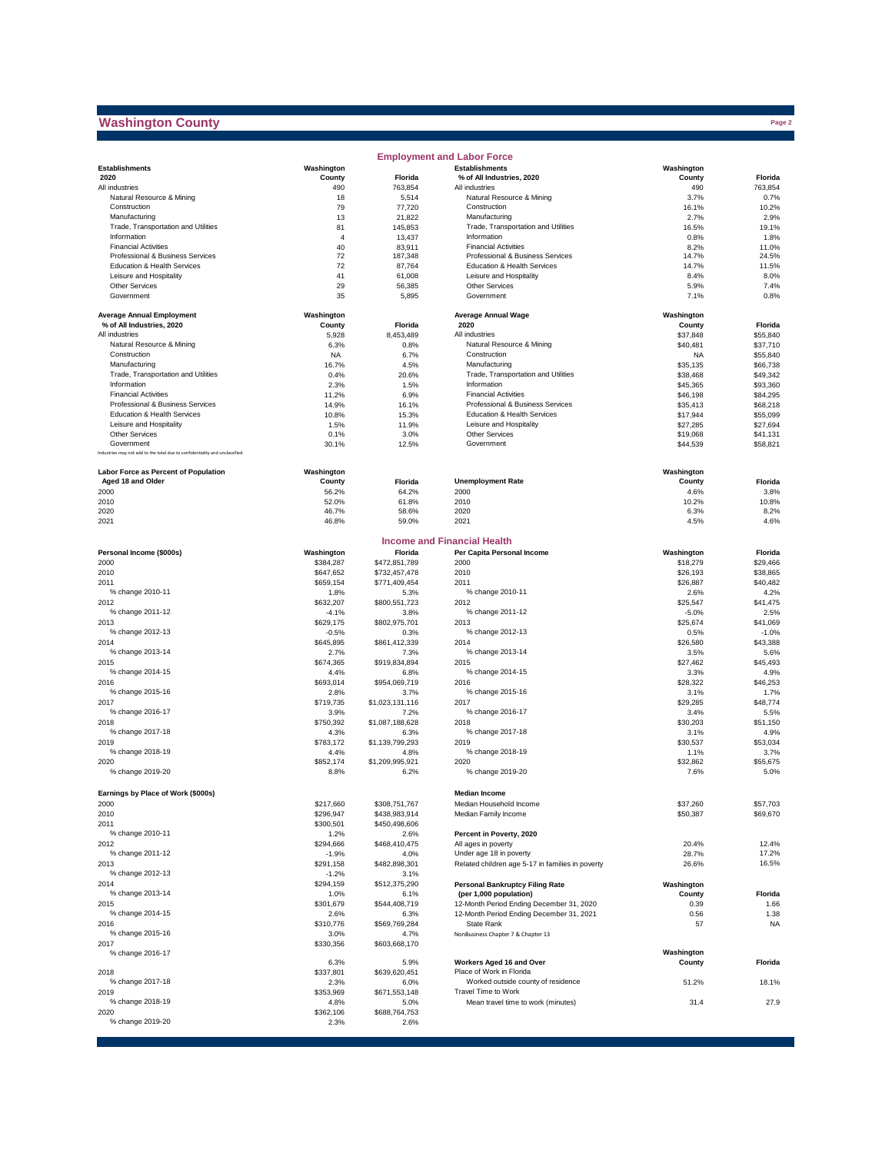## **Washington County**

 $\mathcal{L}_{\mathcal{A}}$ 

|                                                                              |                      |                         | <b>Employment and Labor Force</b>                                |                      |                      |
|------------------------------------------------------------------------------|----------------------|-------------------------|------------------------------------------------------------------|----------------------|----------------------|
| <b>Establishments</b>                                                        | Washington           |                         | <b>Establishments</b>                                            | Washington           |                      |
| 2020                                                                         | County               | Florida                 | % of All Industries, 2020                                        | County               | Florida              |
| All industries                                                               | 490                  | 763.854                 | All industries                                                   | 490                  | 763,854              |
| Natural Resource & Mining                                                    | 18                   | 5,514                   | Natural Resource & Mining                                        | 3.7%                 | 0.7%                 |
| Construction                                                                 | 79                   | 77,720                  | Construction                                                     | 16.1%                | 10.2%                |
| Manufacturing                                                                | 13                   | 21,822                  | Manufacturing                                                    | 2.7%                 | 2.9%                 |
| Trade, Transportation and Utilities<br>Information                           | 81<br>$\overline{4}$ | 145,853<br>13,437       | Trade, Transportation and Utilities<br>Information               | 16.5%<br>0.8%        | 19.1%<br>1.8%        |
| <b>Financial Activities</b>                                                  | 40                   | 83,911                  | <b>Financial Activities</b>                                      | 8.2%                 | 11.0%                |
| Professional & Business Services                                             | 72                   | 187,348                 | Professional & Business Services                                 | 14.7%                | 24.5%                |
| Education & Health Services                                                  | 72                   | 87,764                  | Education & Health Services                                      | 14.7%                | 11.5%                |
| Leisure and Hospitality                                                      | 41                   | 61,008                  | Leisure and Hospitality                                          | 8.4%                 | 8.0%                 |
| Other Services                                                               | 29                   | 56,385                  | Other Services                                                   | 5.9%                 | 7.4%                 |
| Government                                                                   | 35                   | 5,895                   | Government                                                       | 7.1%                 | 0.8%                 |
| <b>Average Annual Employment</b>                                             | Washington           |                         | <b>Average Annual Wage</b>                                       | Washington           |                      |
| % of All Industries, 2020                                                    | County               | <b>Florida</b>          | 2020                                                             | County               | Florida              |
| All industries                                                               | 5,928                | 8,453,489               | All industries                                                   | \$37,848             | \$55,840             |
| Natural Resource & Mining                                                    | 6.3%                 | 0.8%                    | Natural Resource & Mining                                        | \$40,481             | \$37,710             |
| Construction                                                                 | <b>NA</b>            | 6.7%                    | Construction                                                     | <b>NA</b>            | \$55,840             |
| Manufacturing                                                                | 16.7%                | 4.5%                    | Manufacturing                                                    | \$35,135             | \$66,738             |
| Trade, Transportation and Utilities                                          | 0.4%                 | 20.6%                   | Trade, Transportation and Utilities                              | \$38,468             | \$49,342             |
| Information<br><b>Financial Activities</b>                                   | 2.3%                 | 1.5%                    | Information                                                      | \$45,365             | \$93,360             |
| Professional & Business Services                                             | 11.2%<br>14.9%       | 6.9%<br>16.1%           | <b>Financial Activities</b><br>Professional & Business Services  | \$46,198<br>\$35,413 | \$84,295<br>\$68,218 |
| Education & Health Services                                                  | 10.8%                | 15.3%                   | Education & Health Services                                      | \$17,944             | \$55,099             |
| Leisure and Hospitality                                                      | 1.5%                 | 11.9%                   | Leisure and Hospitality                                          | \$27,285             | \$27,694             |
| Other Services                                                               | 0.1%                 | 3.0%                    | Other Services                                                   | \$19,068             | \$41.131             |
| Government                                                                   | 30.1%                | 12.5%                   | Government                                                       | \$44,539             | \$58,821             |
| Industries may not add to the total due to confidentiality and unclassified. |                      |                         |                                                                  |                      |                      |
| <b>Labor Force as Percent of Population</b>                                  | Washington           |                         |                                                                  | Washington           |                      |
| Aged 18 and Older                                                            | County               | Florida                 | <b>Unemployment Rate</b>                                         | County               | Florida              |
| 2000                                                                         | 56.2%                | 64.2%                   | 2000                                                             | 4.6%                 | 3.8%                 |
| 2010                                                                         | 52.0%                | 61.8%                   | 2010                                                             | 10.2%                | 10.8%                |
| 2020                                                                         | 46.7%                | 58.6%                   | 2020                                                             | 6.3%                 | 8.2%                 |
| 2021                                                                         | 46.8%                | 59.0%                   | 2021                                                             | 4.5%                 | 4.6%                 |
|                                                                              |                      |                         |                                                                  |                      |                      |
| Personal Income (\$000s)                                                     | Washington           | Florida                 | <b>Income and Financial Health</b><br>Per Capita Personal Income | Washington           | Florida              |
| 2000                                                                         | \$384,287            | \$472,851,789           | 2000                                                             | \$18,279             | \$29,466             |
| 2010                                                                         | \$647,652            | \$732,457,478           | 2010                                                             | \$26,193             | \$38,865             |
| 2011                                                                         | \$659,154            | \$771,409,454           | 2011                                                             | \$26,887             | \$40,482             |
| % change 2010-11                                                             | 1.8%                 | 5.3%                    | % change 2010-11                                                 | 2.6%                 | 4.2%                 |
| 2012                                                                         | \$632,207            | \$800,551,723           | 2012                                                             | \$25,547             | \$41,475             |
| % change 2011-12                                                             | $-4.1%$              | 3.8%                    | % change 2011-12                                                 | $-5.0%$              | 2.5%                 |
| 2013                                                                         | \$629,175            | \$802,975,701           | 2013                                                             | \$25,674             | \$41,069             |
| % change 2012-13                                                             | $-0.5%$              | 0.3%                    | % change 2012-13                                                 | 0.5%                 | $-1.0%$              |
| 2014                                                                         | \$645,895            | \$861,412,339           | 2014                                                             | \$26,580             | \$43,388             |
| % change 2013-14                                                             | 2.7%                 | 7.3%                    | % change 2013-14                                                 | 3.5%                 | 5.6%                 |
| 2015<br>% change 2014-15                                                     | \$674,365<br>4.4%    | \$919,834,894<br>6.8%   | 2015<br>% change 2014-15                                         | \$27,462<br>3.3%     | \$45,493<br>4.9%     |
| 2016                                                                         | \$693,014            | \$954,069,719           | 2016                                                             | \$28,322             | \$46,253             |
| % change 2015-16                                                             | 2.8%                 | 3.7%                    | % change 2015-16                                                 | 3.1%                 | 1.7%                 |
| 2017                                                                         | \$719,735            | \$1,023,131,116         | 2017                                                             | \$29,285             | \$48,774             |
| % change 2016-17                                                             | 3.9%                 | 7.2%                    | % change 2016-17                                                 | 3.4%                 | 5.5%                 |
| 2018                                                                         | \$750,392            | \$1,087,188,628         | 2018                                                             | \$30,203             | \$51,150             |
| % change 2017-18                                                             | 4.3%                 | 6.3%                    | % change 2017-18                                                 | 3.1%                 | 4.9%                 |
| 2019                                                                         | \$783,172            | \$1,139,799,293         | 2019                                                             | \$30,537             | \$53,034             |
| % change 2018-19                                                             | 4.4%                 | 4.8%                    | % change 2018-19                                                 | 1.1%                 | 3.7%                 |
| 2020<br>% change 2019-20                                                     | \$852,174<br>8.8%    | \$1,209,995,921<br>6.2% | 2020<br>% change 2019-20                                         | \$32,862<br>7.6%     | \$55,675<br>5.0%     |
|                                                                              |                      |                         |                                                                  |                      |                      |
| Earnings by Place of Work (\$000s)                                           |                      |                         | <b>Median Income</b>                                             |                      |                      |
| 2000                                                                         | \$217,660            | \$308,751,767           | Median Household Income                                          | \$37,260             | \$57,703             |
| 2010                                                                         | \$296,947            | \$438,983,914           | Median Family Income                                             | \$50,387             | \$69,670             |
| 2011                                                                         | \$300,501            | \$450,498,606           |                                                                  |                      |                      |
| % change 2010-11                                                             | 1.2%                 | 2.6%                    | Percent in Poverty, 2020                                         |                      |                      |
| 2012                                                                         | \$294,666            | \$468,410,475           | All ages in poverty                                              | 20.4%                | 12.4%                |
| % change 2011-12                                                             | $-1.9%$              | 4.0%                    | Under age 18 in poverty                                          | 28.7%                | 17.2%                |
| 2013                                                                         | \$291,158            | \$482,898,301           | Related children age 5-17 in families in poverty                 | 26.6%                | 16.5%                |
| % change 2012-13                                                             | $-1.2%$<br>\$294,159 | 3.1%                    |                                                                  |                      |                      |
| 2014<br>% change 2013-14                                                     | 1.0%                 | \$512,375,290<br>6.1%   | <b>Personal Bankruptcy Filing Rate</b><br>(per 1,000 population) | Washington<br>County | Florida              |
| 2015                                                                         | \$301,679            | \$544,408,719           | 12-Month Period Ending December 31, 2020                         | 0.39                 | 1.66                 |
| % change 2014-15                                                             | 2.6%                 | 6.3%                    | 12-Month Period Ending December 31, 2021                         | 0.56                 | 1.38                 |
| 2016                                                                         | \$310,776            | \$569,769,284           | State Rank                                                       | 57                   | <b>NA</b>            |
| % change 2015-16                                                             | 3.0%                 | 4.7%                    | NonBusiness Chapter 7 & Chapter 13                               |                      |                      |
| 2017                                                                         | \$330,356            | \$603,668,170           |                                                                  |                      |                      |
| % change 2016-17                                                             | 6.3%                 | 5.9%                    | Workers Aged 16 and Over                                         | Washington<br>County | Florida              |
| 2018                                                                         | \$337,801            | \$639,620,451           | Place of Work in Florida                                         |                      |                      |
| % change 2017-18                                                             | 2.3%                 | 6.0%                    | Worked outside county of residence                               | 51.2%                | 18.1%                |
| 2019                                                                         | \$353,969            | \$671,553,148           | Travel Time to Work                                              |                      |                      |
| % change 2018-19                                                             | 4.8%                 | 5.0%                    | Mean travel time to work (minutes)                               | 31.4                 | 27.9                 |
| 2020                                                                         | \$362,106            | \$688,764,753           |                                                                  |                      |                      |
| % change 2019-20                                                             | 2.3%                 | 2.6%                    |                                                                  |                      |                      |